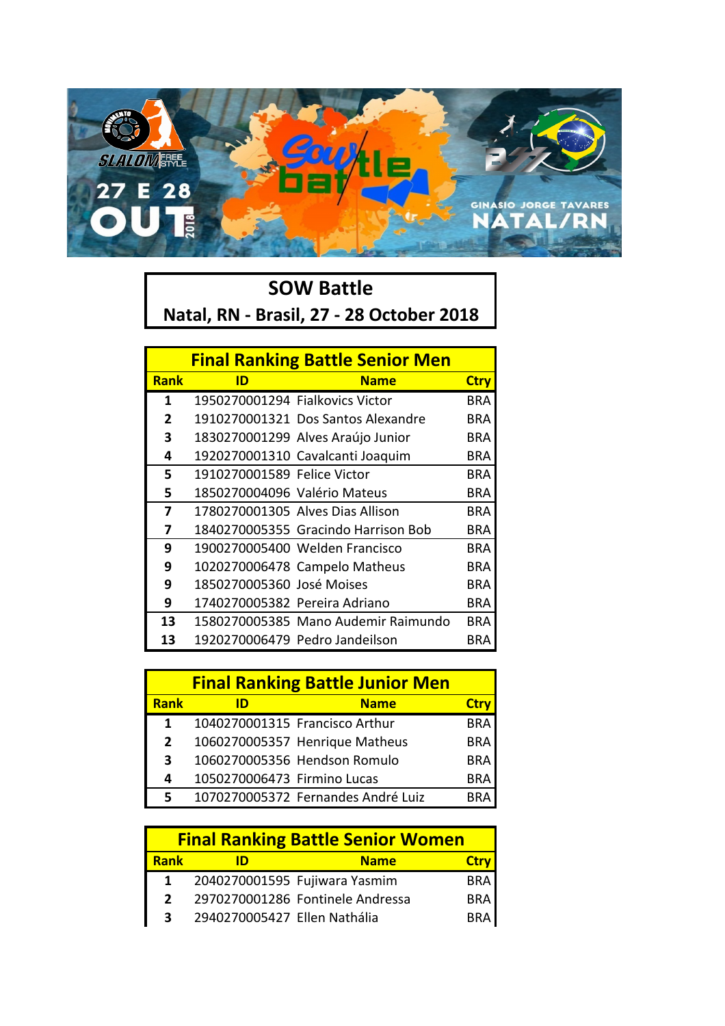

## **SOW Battle Natal, RN - Brasil, 27 - 28 October 2018**

| <b>Final Ranking Battle Senior Men</b> |                               |                                     |             |  |
|----------------------------------------|-------------------------------|-------------------------------------|-------------|--|
| <b>Rank</b>                            | ID                            | <b>Name</b>                         | <b>Ctry</b> |  |
| 1                                      |                               | 1950270001294 Fialkovics Victor     | BRA         |  |
| $\mathbf{2}$                           |                               | 1910270001321 Dos Santos Alexandre  | BRA         |  |
| 3                                      |                               | 1830270001299 Alves Araújo Junior   | BRA         |  |
| 4                                      |                               | 1920270001310 Cavalcanti Joaquim    | <b>BRA</b>  |  |
| 5                                      | 1910270001589 Felice Victor   |                                     | BRA         |  |
| 5                                      | 1850270004096 Valério Mateus  |                                     | BRA         |  |
| 7                                      |                               | 1780270001305 Alves Dias Allison    | BRA         |  |
| 7                                      |                               | 1840270005355 Gracindo Harrison Bob | BRA         |  |
| 9                                      |                               | 1900270005400 Welden Francisco      | BRA         |  |
| 9                                      |                               | 1020270006478 Campelo Matheus       | BRA         |  |
| 9                                      | 1850270005360 José Moises     |                                     | BRA         |  |
| 9                                      | 1740270005382 Pereira Adriano |                                     | BRA         |  |
| 13                                     |                               | 1580270005385 Mano Audemir Raimundo | BRA         |  |
| 13                                     |                               | 1920270006479 Pedro Jandeilson      | BRA         |  |

|                | <b>Final Ranking Battle Junior Men</b> |                                    |             |  |  |
|----------------|----------------------------------------|------------------------------------|-------------|--|--|
| <b>Rank</b>    |                                        | <b>Name</b>                        | <b>Ctry</b> |  |  |
| 1              |                                        | 1040270001315 Francisco Arthur     | <b>BRA</b>  |  |  |
| $\overline{2}$ |                                        | 1060270005357 Henrique Matheus     | <b>BRA</b>  |  |  |
| 3              |                                        | 1060270005356 Hendson Romulo       | <b>BRA</b>  |  |  |
| 4              | 1050270006473 Firmino Lucas            |                                    | <b>BRA</b>  |  |  |
| 5              |                                        | 1070270005372 Fernandes André Luiz |             |  |  |

| <b>Final Ranking Battle Senior Women</b> |                              |                                  |             |  |
|------------------------------------------|------------------------------|----------------------------------|-------------|--|
| <b>Rank</b>                              |                              | <b>Name</b>                      | <b>Ctry</b> |  |
|                                          |                              | 2040270001595 Fujiwara Yasmim    | <b>BRA</b>  |  |
| $\mathcal{P}$                            |                              | 2970270001286 Fontinele Andressa | <b>BRA</b>  |  |
| 3.                                       | 2940270005427 Ellen Nathália |                                  | <b>BRA</b>  |  |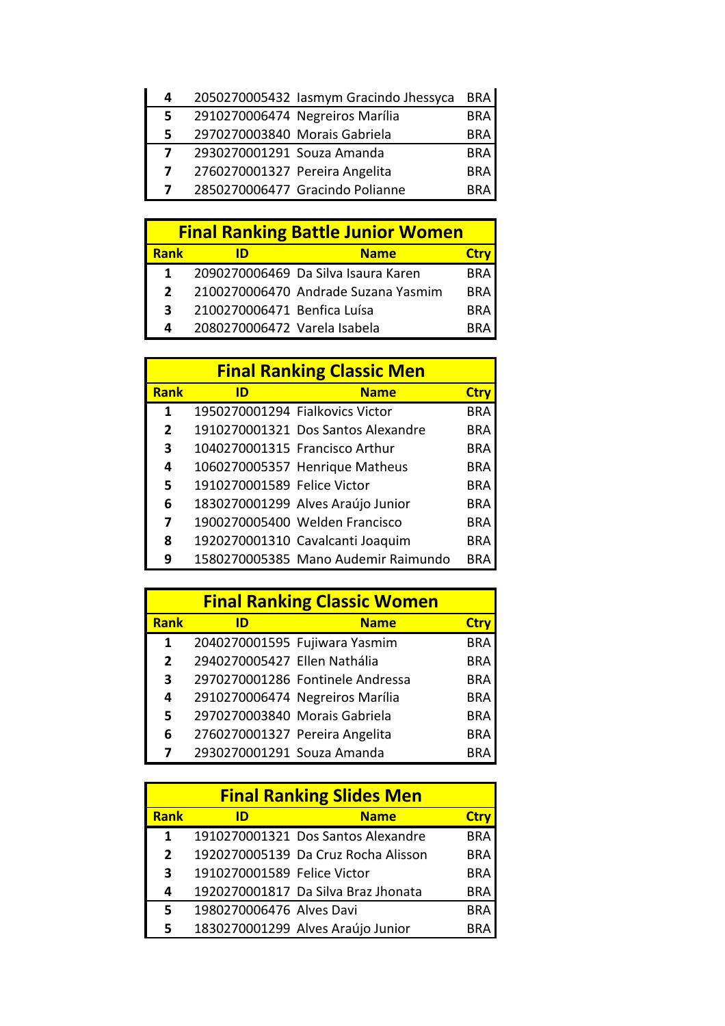| 4  |                                 | 2050270005432 lasmym Gracindo Jhessyca | <b>BRA</b> |
|----|---------------------------------|----------------------------------------|------------|
| 5  | 2910270006474 Negreiros Marília |                                        | <b>BRA</b> |
| 5. | 2970270003840 Morais Gabriela   |                                        | <b>BRA</b> |
| 7  | 2930270001291 Souza Amanda      |                                        | <b>BRA</b> |
| 7  | 2760270001327 Pereira Angelita  |                                        | <b>BRA</b> |
| 7  | 2850270006477 Gracindo Polianne |                                        | <b>BRA</b> |

| <b>Final Ranking Battle Junior Women</b> |                              |                                     |             |  |
|------------------------------------------|------------------------------|-------------------------------------|-------------|--|
| <b>Rank</b>                              | ID                           | <b>Name</b>                         | <b>Ctrv</b> |  |
| 1                                        |                              | 2090270006469 Da Silva Isaura Karen | <b>BRA</b>  |  |
| $\mathbf{z}$                             |                              | 2100270006470 Andrade Suzana Yasmim | <b>BRA</b>  |  |
| 3                                        | 2100270006471 Benfica Luísa  |                                     | <b>BRA</b>  |  |
| Δ                                        | 2080270006472 Varela Isabela |                                     | RR∆         |  |

| <b>Final Ranking Classic Men</b> |                                 |                                     |             |  |
|----------------------------------|---------------------------------|-------------------------------------|-------------|--|
| <b>Rank</b>                      | ID                              | <b>Name</b>                         | <b>Ctry</b> |  |
| 1                                | 1950270001294 Fialkovics Victor |                                     | <b>BRA</b>  |  |
| $\overline{2}$                   |                                 | 1910270001321 Dos Santos Alexandre  | BRA         |  |
| 3                                |                                 | 1040270001315 Francisco Arthur      | <b>BRA</b>  |  |
| 4                                |                                 | 1060270005357 Henrique Matheus      | BRA         |  |
| 5                                | 1910270001589 Felice Victor     |                                     | <b>BRA</b>  |  |
| 6                                |                                 | 1830270001299 Alves Araújo Junior   | BRA         |  |
| 7                                |                                 | 1900270005400 Welden Francisco      | <b>BRA</b>  |  |
| 8                                |                                 | 1920270001310 Cavalcanti Joaquim    | BRA         |  |
| 9                                |                                 | 1580270005385 Mano Audemir Raimundo | RRA         |  |

| <b>Final Ranking Classic Women</b> |                                |                                  |            |  |
|------------------------------------|--------------------------------|----------------------------------|------------|--|
| Rank                               | ID                             | <b>Name</b>                      | Ctry       |  |
| 1                                  |                                | 2040270001595 Fujiwara Yasmim    | <b>BRA</b> |  |
| $\mathbf{2}$                       | 2940270005427 Ellen Nathália   |                                  | <b>BRA</b> |  |
| 3                                  |                                | 2970270001286 Fontinele Andressa | <b>BRA</b> |  |
| 4                                  |                                | 2910270006474 Negreiros Marília  | <b>BRA</b> |  |
| 5                                  | 2970270003840 Morais Gabriela  |                                  | <b>BRA</b> |  |
| 6                                  | 2760270001327 Pereira Angelita |                                  | <b>BRA</b> |  |
|                                    | 2930270001291 Souza Amanda     |                                  | BRA        |  |

| <b>Final Ranking Slides Men</b> |                             |                                     |            |  |
|---------------------------------|-----------------------------|-------------------------------------|------------|--|
| <b>Rank</b>                     | ID                          | <b>Name</b>                         | Ctry       |  |
| $\mathbf{1}$                    |                             | 1910270001321 Dos Santos Alexandre  | <b>BRA</b> |  |
| $\overline{2}$                  |                             | 1920270005139 Da Cruz Rocha Alisson | <b>BRA</b> |  |
| 3                               | 1910270001589 Felice Victor |                                     | <b>BRA</b> |  |
| 4                               |                             | 1920270001817 Da Silva Braz Jhonata | <b>BRA</b> |  |
| 5                               | 1980270006476 Alves Davi    |                                     | <b>BRA</b> |  |
| 5                               |                             | 1830270001299 Alves Araújo Junior   |            |  |